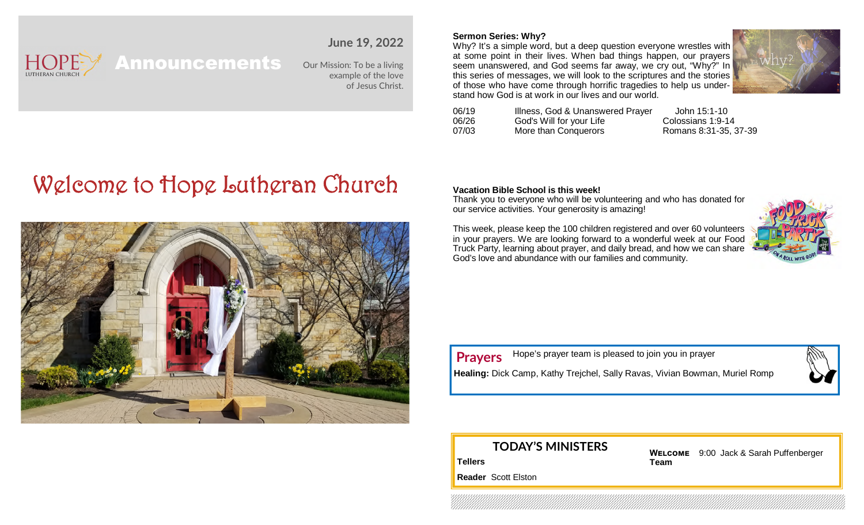# **HOPE**

## **June 19, 2022**

Announcements

Our Mission: To be a living example of the love of Jesus Christ.

# Welcome to Hope Lutheran Church



#### **Sermon Series: Why?**

Why? It's a simple word, but a deep question everyone wrestles with at some point in their lives. When bad things happen, our prayers seem unanswered, and God seems far away, we cry out, "Why?" In this series of messages, we will look to the scriptures and the stories of those who have come through horrific tragedies to help us understand how God is at work in our lives and our world.



| 06/19 | Illness, God & Unanswered Prayer | John 15:1-10          |
|-------|----------------------------------|-----------------------|
| 06/26 | God's Will for your Life         | Colossians 1:9-14     |
| 07/03 | More than Conquerors             | Romans 8:31-35, 37-39 |

#### **Vacation Bible School is this week!**

Thank you to everyone who will be volunteering and who has donated for our service activities. Your generosity is amazing!

This week, please keep the 100 children registered and over 60 volunteers in your prayers. We are looking forward to a wonderful week at our Food Truck Party, learning about prayer, and daily bread, and how we can share God's love and abundance with our families and community.



Hope's prayer team is pleased to join you in prayer **Prayers**

**Healing:** Dick Camp, Kathy Trejchel, Sally Ravas, Vivian Bowman, Muriel Romp

## **TODAY'S MINISTERS**

**WELCOME** 9:00 Jack & Sarah Puffenberger **Team**

**Tellers**

**Reader** Scott Elston